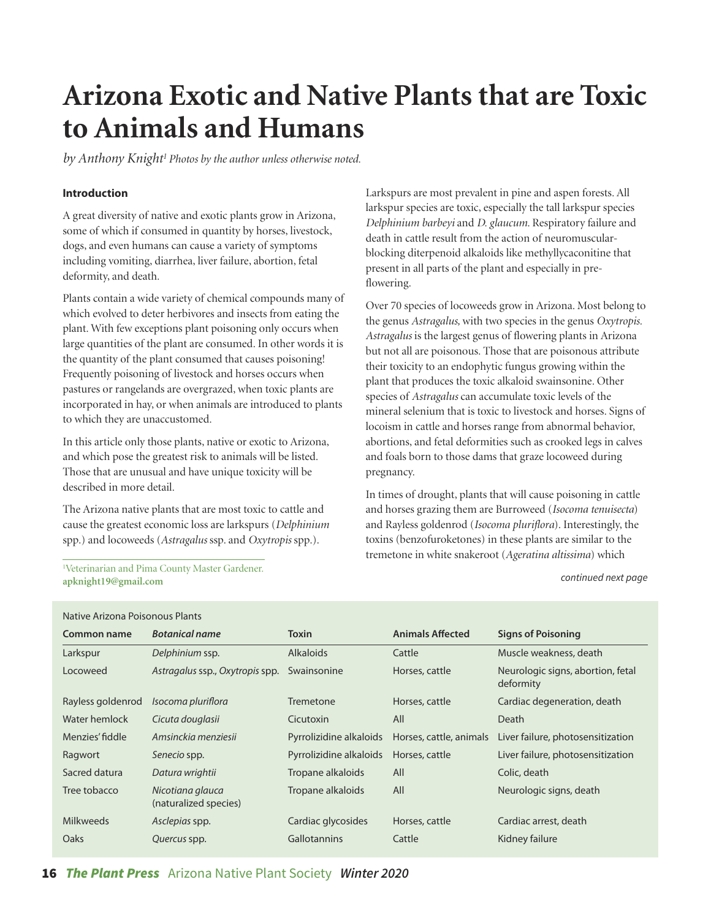# **Arizona Exotic and Native Plants that are Toxic to Animals and Humans**

by Anthony Knight<sup>1</sup> Photos by the author unless otherwise noted.

### **Introduction**

A great diversity of native and exotic plants grow in Arizona, some of which if consumed in quantity by horses, livestock, dogs, and even humans can cause a variety of symptoms including vomiting, diarrhea, liver failure, abortion, fetal deformity, and death.

Plants contain a wide variety of chemical compounds many of which evolved to deter herbivores and insects from eating the plant. With few exceptions plant poisoning only occurs when large quantities of the plant are consumed. In other words it is the quantity of the plant consumed that causes poisoning! Frequently poisoning of livestock and horses occurs when pastures or rangelands are overgrazed, when toxic plants are incorporated in hay, or when animals are introduced to plants to which they are unaccustomed.

In this article only those plants, native or exotic to Arizona, and which pose the greatest risk to animals will be listed. Those that are unusual and have unique toxicity will be described in more detail.

The Arizona native plants that are most toxic to cattle and cause the greatest economic loss are larkspurs (*Delphinium*  spp.) and locoweeds (*Astragalus* ssp. and *Oxytropis* spp.).

Veterinarian and Pima County Master Gardener. **[apknight19@gmail.com](mailto:apknight19@gmail.com)** *continued next page*

### Native Arizona Poisonous Plants

Larkspurs are most prevalent in pine and aspen forests. All larkspur species are toxic, especially the tall larkspur species *Delphinium barbeyi* and *D. glaucum*. Respiratory failure and death in cattle result from the action of neuromuscularblocking diterpenoid alkaloids like methyllycaconitine that present in all parts of the plant and especially in preflowering.

Over 70 species of locoweeds grow in Arizona. Most belong to the genus *Astragalus,* with two species in the genus *Oxytropis. Astragalus* is the largest genus of flowering plants in Arizona but not all are poisonous. Those that are poisonous attribute their toxicity to an endophytic fungus growing within the plant that produces the toxic alkaloid swainsonine. Other species of *Astragalus* can accumulate toxic levels of the mineral selenium that is toxic to livestock and horses. Signs of locoism in cattle and horses range from abnormal behavior, abortions, and fetal deformities such as crooked legs in calves and foals born to those dams that graze locoweed during pregnancy.

In times of drought, plants that will cause poisoning in cattle and horses grazing them are Burroweed (*Isocoma tenuisecta*) and Rayless goldenrod (*Isocoma pluriflora*). Interestingly, the toxins (benzofuroketones) in these plants are similar to the tremetone in white snakeroot (*Ageratina altissima*) which 1

| TRANC ANZUNG I UISUNUUS I TANIUS |                                           |                         |                         |                                                |  |  |
|----------------------------------|-------------------------------------------|-------------------------|-------------------------|------------------------------------------------|--|--|
| Common name                      | <b>Botanical name</b>                     | <b>Toxin</b>            | <b>Animals Affected</b> | <b>Signs of Poisoning</b>                      |  |  |
| Larkspur                         | Delphinium ssp.                           | <b>Alkaloids</b>        | Cattle                  | Muscle weakness, death                         |  |  |
| Locoweed                         | Astragalus ssp., Oxytropis spp.           | Swainsonine             | Horses, cattle          | Neurologic signs, abortion, fetal<br>deformity |  |  |
| Rayless goldenrod                | Isocoma pluriflora                        | Tremetone               | Horses, cattle          | Cardiac degeneration, death                    |  |  |
| Water hemlock                    | Cicuta douglasii                          | Cicutoxin               | All                     | Death                                          |  |  |
| Menzies' fiddle                  | Amsinckia menziesii                       | Pyrrolizidine alkaloids | Horses, cattle, animals | Liver failure, photosensitization              |  |  |
| Ragwort                          | Senecio spp.                              | Pyrrolizidine alkaloids | Horses, cattle          | Liver failure, photosensitization              |  |  |
| Sacred datura                    | Datura wrightii                           | Tropane alkaloids       | All                     | Colic, death                                   |  |  |
| Tree tobacco                     | Nicotiana glauca<br>(naturalized species) | Tropane alkaloids       | All                     | Neurologic signs, death                        |  |  |
| <b>Milkweeds</b>                 | Asclepias spp.                            | Cardiac glycosides      | Horses, cattle          | Cardiac arrest, death                          |  |  |
| Oaks                             | Quercus spp.                              | <b>Gallotannins</b>     | Cattle                  | Kidney failure                                 |  |  |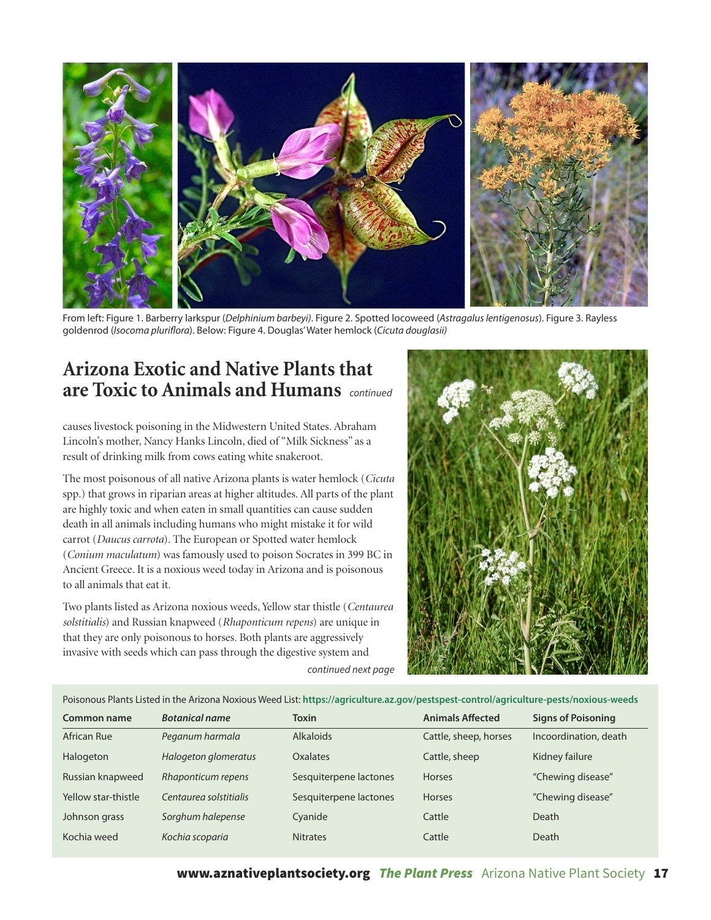

From left: Figure 1. Barberry larkspur (Delphinium barbeyi). Figure 2. Spotted locoweed (Astragalus lentigenosus). Figure 3. Rayless goldenrod (Isocoma pluriflora). Below: Figure 4. Douglas' Water hemlock (Cicuta douglasii)

## **Arizona Exotic and Native Plants that are Toxic to Animals and Humans** *continued*

causes livestock poisoning in the Midwestern United States. Abraham Lincoln's mother, Nancy Hanks Lincoln, died of "Milk Sickness" as a result of drinking milk from cows eating white snakeroot.

The most poisonous of all native Arizona plants is water hemlock (*Cicuta* spp.) that grows in riparian areas at higher altitudes. All parts of the plant are highly toxic and when eaten in small quantities can cause sudden death in all animals including humans who might mistake it for wild carrot (*Daucus carrota*). The European or Spotted water hemlock (*Conium maculatum*) was famously used to poison Socrates in 399 BC in Ancient Greece. It is a noxious weed today in Arizona and is poisonous to all animals that eat it.

Two plants listed as Arizona noxious weeds, Yellow star thistle (*Centaurea solstitialis*) and Russian knapweed (*Rhaponticum repens*) are unique in that they are only poisonous to horses. Both plants are aggressively invasive with seeds which can pass through the digestive system and *continued next page*



Poisonous Plants Listed in the Arizona Noxious Weed List: **<https://agriculture.az.gov/pestspest-control/agriculture-pests/noxious-weeds>**

| Common name         | <b>Botanical name</b>  | <b>Toxin</b>           | <b>Animals Affected</b> | <b>Signs of Poisoning</b> |
|---------------------|------------------------|------------------------|-------------------------|---------------------------|
| African Rue         | Peganum harmala        | <b>Alkaloids</b>       | Cattle, sheep, horses   | Incoordination, death     |
| Halogeton           | Halogeton glomeratus   | Oxalates               | Cattle, sheep           | Kidney failure            |
| Russian knapweed    | Rhaponticum repens     | Sesquiterpene lactones | <b>Horses</b>           | "Chewing disease"         |
| Yellow star-thistle | Centaurea solstitialis | Sesquiterpene lactones | <b>Horses</b>           | "Chewing disease"         |
| Johnson grass       | Sorghum halepense      | Cyanide                | Cattle                  | <b>Death</b>              |
| Kochia weed         | Kochia scoparia        | <b>Nitrates</b>        | Cattle                  | Death                     |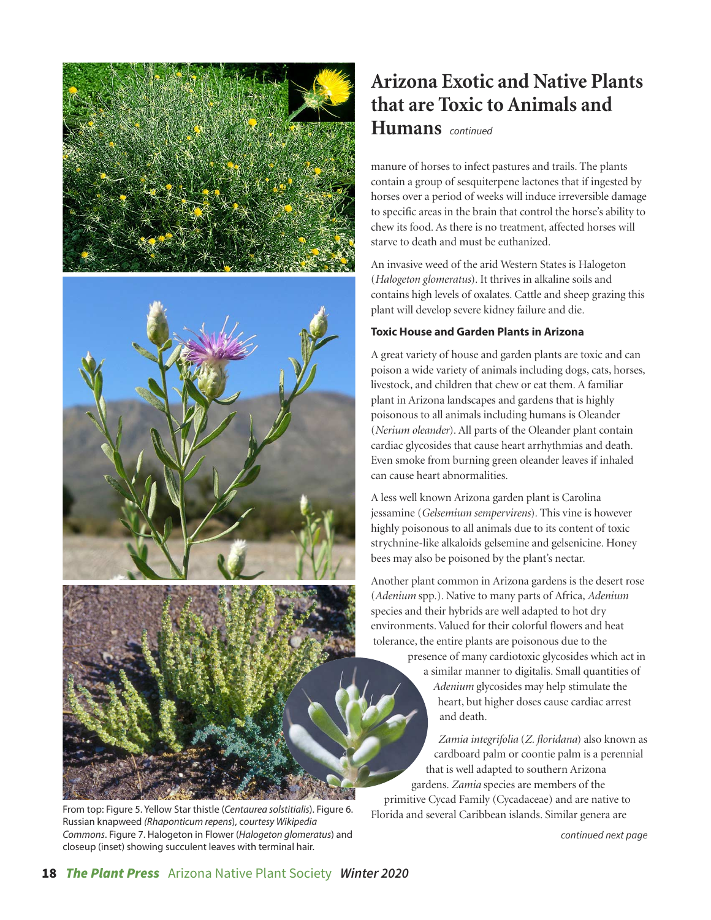



From top: Figure 5. Yellow Star thistle (Centaurea solstitialis). Figure 6. Russian knapweed (Rhaponticum repens), courtesy Wikipedia Commons. Figure 7. Halogeton in Flower (Halogeton glomeratus) and closeup (inset) showing succulent leaves with terminal hair.

# **Arizona Exotic and Native Plants that are Toxic to Animals and**

**Humans** *continued*

manure of horses to infect pastures and trails. The plants contain a group of sesquiterpene lactones that if ingested by horses over a period of weeks will induce irreversible damage to specific areas in the brain that control the horse's ability to chew its food. As there is no treatment, affected horses will starve to death and must be euthanized.

An invasive weed of the arid Western States is Halogeton (*Halogeton glomeratus*). It thrives in alkaline soils and contains high levels of oxalates. Cattle and sheep grazing this plant will develop severe kidney failure and die.

### **Toxic House and Garden Plants in Arizona**

A great variety of house and garden plants are toxic and can poison a wide variety of animals including dogs, cats, horses, livestock, and children that chew or eat them. A familiar plant in Arizona landscapes and gardens that is highly poisonous to all animals including humans is Oleander (*Nerium oleander*). All parts of the Oleander plant contain cardiac glycosides that cause heart arrhythmias and death. Even smoke from burning green oleander leaves if inhaled can cause heart abnormalities.

A less well known Arizona garden plant is Carolina jessamine (*Gelsemium sempervirens*). This vine is however highly poisonous to all animals due to its content of toxic strychnine-like alkaloids gelsemine and gelsenicine. Honey bees may also be poisoned by the plant's nectar.

Another plant common in Arizona gardens is the desert rose (*Adenium* spp.). Native to many parts of Africa, *Adenium* species and their hybrids are well adapted to hot dry environments. Valued for their colorful flowers and heat tolerance, the entire plants are poisonous due to the

> presence of many cardiotoxic glycosides which act in a similar manner to digitalis. Small quantities of *Adenium* glycosides may help stimulate the heart, but higher doses cause cardiac arrest and death.

*Zamia integrifolia* (*Z. floridana*) also known as cardboard palm or coontie palm is a perennial that is well adapted to southern Arizona gardens. *Zamia* species are members of the primitive Cycad Family (Cycadaceae) and are native to Florida and several Caribbean islands. Similar genera are

*continued next page*